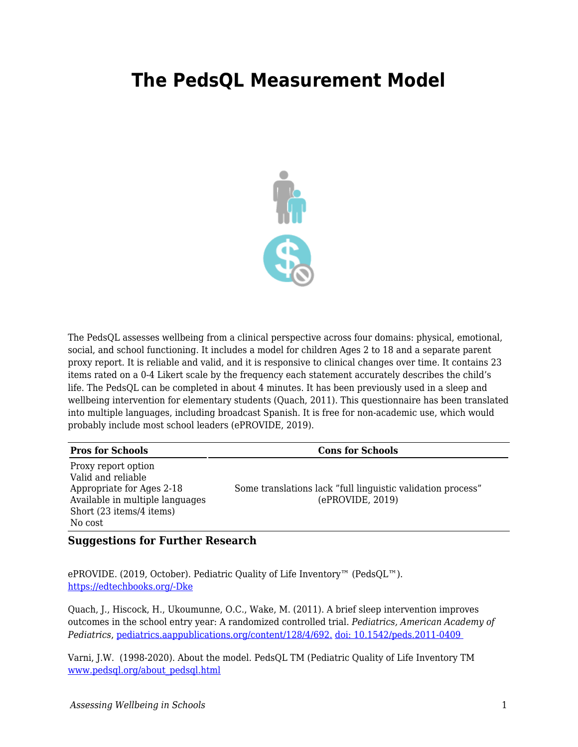## **The PedsQL Measurement Model**



The PedsQL assesses wellbeing from a clinical perspective across four domains: physical, emotional, social, and school functioning. It includes a model for children Ages 2 to 18 and a separate parent proxy report. It is reliable and valid, and it is responsive to clinical changes over time. It contains 23 items rated on a 0-4 Likert scale by the frequency each statement accurately describes the child's life. The PedsQL can be completed in about 4 minutes. It has been previously used in a sleep and wellbeing intervention for elementary students (Quach, 2011). This questionnaire has been translated into multiple languages, including broadcast Spanish. It is free for non-academic use, which would probably include most school leaders (ePROVIDE, 2019).

| <b>Pros for Schools</b>                                                                                                                          | <b>Cons for Schools</b>                                                         |
|--------------------------------------------------------------------------------------------------------------------------------------------------|---------------------------------------------------------------------------------|
| Proxy report option<br>Valid and reliable<br>Appropriate for Ages 2-18<br>Available in multiple languages<br>Short (23 items/4 items)<br>No cost | Some translations lack "full linguistic validation process"<br>(ePROVIDE, 2019) |

## **Suggestions for Further Research**

ePROVIDE. (2019, October). Pediatric Quality of Life Inventory™ (PedsQL™). [https://edtechbooks.org/-Dke](https://eprovide.mapi-trust.org/instruments/pediatric-quality-of-life-inventory#basic_description)

Quach, J., Hiscock, H., Ukoumunne, O.C., Wake, M. (2011). A brief sleep intervention improves outcomes in the school entry year: A randomized controlled trial. *Pediatrics, American Academy of Pediatrics*, [pediatrics.aappublications.org/content/128/4/692.](https://www.ncbi.nlm.nih.gov/pubmed/21890825) [doi: 10.1542/peds.2011-0409](https://www.ncbi.nlm.nih.gov/pubmed/21890825) 

Varni, J.W. (1998-2020). About the model*.* PedsQL TM (Pediatric Quality of Life Inventory TM [www.pedsql.org/about\\_pedsql.html](http://www.pedsql.org/about_pedsql.html)